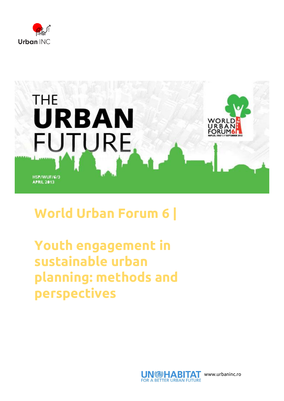



## **World Urban Forum 6 |**

**Youth engagement in sustainable urban planning: methods and perspectives**